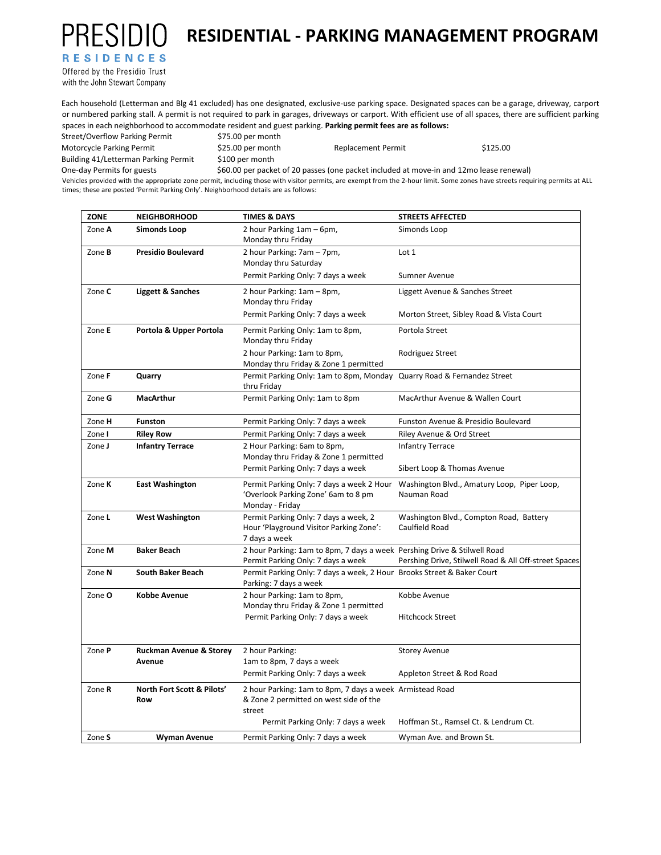## **RESIDENTIAL - PARKING MANAGEMENT PROGRAM**

**RESIDENCES** 

**PRESIDIO** 

Offered by the Presidio Trust with the John Stewart Company

Each household (Letterman and Blg 41 excluded) has one designated, exclusive‐use parking space. Designated spaces can be a garage, driveway, carport or numbered parking stall. A permit is not required to park in garages, driveways or carport. With efficient use of all spaces, there are sufficient parking spaces in each neighborhood to accommodate resident and guest parking. **Parking permit fees are as follows:**   $S$ treet/Overflow Parking Permit

| <b>JUCCI/OVEHOW LAINIIR LEHIII</b> U                                                                            | <b>UNDER THE INSTITUTE</b>                                                              |                           |          |  |  |
|-----------------------------------------------------------------------------------------------------------------|-----------------------------------------------------------------------------------------|---------------------------|----------|--|--|
| Motorcycle Parking Permit                                                                                       | $$25.00$ per month                                                                      | <b>Replacement Permit</b> | \$125.00 |  |  |
| Building 41/Letterman Parking Permit                                                                            | \$100 per month                                                                         |                           |          |  |  |
| One-day Permits for guests                                                                                      | \$60.00 per packet of 20 passes (one packet included at move-in and 12mo lease renewal) |                           |          |  |  |
| az termin and the second contract the decision of the second contract of the second contract of the second cont |                                                                                         |                           |          |  |  |

Vehicles provided with the appropriate zone permit, including those with visitor permits, are exempt from the 2‐hour limit. Some zones have streets requiring permits at ALL times; these are posted 'Permit Parking Only'. Neighborhood details are as follows:

| <b>ZONE</b>   | <b>NEIGHBORHOOD</b>        | <b>TIMES &amp; DAYS</b>                                                                                        | <b>STREETS AFFECTED</b>                                    |
|---------------|----------------------------|----------------------------------------------------------------------------------------------------------------|------------------------------------------------------------|
| Zone A        | <b>Simonds Loop</b>        | 2 hour Parking 1am - 6pm,<br>Monday thru Friday                                                                | Simonds Loop                                               |
| Zone <b>B</b> | <b>Presidio Boulevard</b>  | 2 hour Parking: 7am - 7pm,<br>Monday thru Saturday                                                             | Lot 1                                                      |
|               |                            | Permit Parking Only: 7 days a week                                                                             | Sumner Avenue                                              |
| Zone C        | Liggett & Sanches          | 2 hour Parking: 1am - 8pm,<br>Monday thru Friday                                                               | Liggett Avenue & Sanches Street                            |
|               |                            | Permit Parking Only: 7 days a week                                                                             | Morton Street, Sibley Road & Vista Court                   |
| Zone E        | Portola & Upper Portola    | Permit Parking Only: 1am to 8pm,<br>Monday thru Friday                                                         | Portola Street                                             |
|               |                            | 2 hour Parking: 1am to 8pm,<br>Monday thru Friday & Zone 1 permitted                                           | Rodriguez Street                                           |
| Zone F        | Quarry                     | Permit Parking Only: 1am to 8pm, Monday Quarry Road & Fernandez Street<br>thru Friday                          |                                                            |
| Zone G        | <b>MacArthur</b>           | Permit Parking Only: 1am to 8pm                                                                                | MacArthur Avenue & Wallen Court                            |
| Zone H        | <b>Funston</b>             | Permit Parking Only: 7 days a week                                                                             | Funston Avenue & Presidio Boulevard                        |
| Zone I        | <b>Riley Row</b>           | Permit Parking Only: 7 days a week                                                                             | Riley Avenue & Ord Street                                  |
| Zone J        | <b>Infantry Terrace</b>    | 2 Hour Parking: 6am to 8pm,<br>Monday thru Friday & Zone 1 permitted                                           | <b>Infantry Terrace</b>                                    |
|               |                            | Permit Parking Only: 7 days a week                                                                             | Sibert Loop & Thomas Avenue                                |
| Zone K        | <b>East Washington</b>     | Permit Parking Only: 7 days a week 2 Hour<br>'Overlook Parking Zone' 6am to 8 pm<br>Monday - Friday            | Washington Blvd., Amatury Loop, Piper Loop,<br>Nauman Road |
| Zone L        | <b>West Washington</b>     | Permit Parking Only: 7 days a week, 2<br>Hour 'Playground Visitor Parking Zone':<br>7 days a week              | Washington Blvd., Compton Road, Battery<br>Caulfield Road  |
| Zone M        | <b>Baker Beach</b>         | 2 hour Parking: 1am to 8pm, 7 days a week Pershing Drive & Stilwell Road<br>Permit Parking Only: 7 days a week | Pershing Drive, Stilwell Road & All Off-street Spaces      |
| Zone N        | <b>South Baker Beach</b>   | Permit Parking Only: 7 days a week, 2 Hour Brooks Street & Baker Court<br>Parking: 7 days a week               |                                                            |
| Zone O        | Kobbe Avenue               | 2 hour Parking: 1am to 8pm,<br>Monday thru Friday & Zone 1 permitted<br>Permit Parking Only: 7 days a week     | Kobbe Avenue<br><b>Hitchcock Street</b>                    |
|               |                            |                                                                                                                |                                                            |
| Zone P        | Ruckman Avenue & Storey    | 2 hour Parking:                                                                                                | <b>Storey Avenue</b>                                       |
|               | Avenue                     | 1am to 8pm, 7 days a week                                                                                      |                                                            |
|               |                            | Permit Parking Only: 7 days a week                                                                             | Appleton Street & Rod Road                                 |
| Zone R        | North Fort Scott & Pilots' | 2 hour Parking: 1am to 8pm, 7 days a week Armistead Road                                                       |                                                            |
|               | Row                        | & Zone 2 permitted on west side of the                                                                         |                                                            |
|               |                            | street<br>Permit Parking Only: 7 days a week                                                                   | Hoffman St., Ramsel Ct. & Lendrum Ct.                      |
| Zone S        | Wyman Avenue               | Permit Parking Only: 7 days a week                                                                             | Wyman Ave. and Brown St.                                   |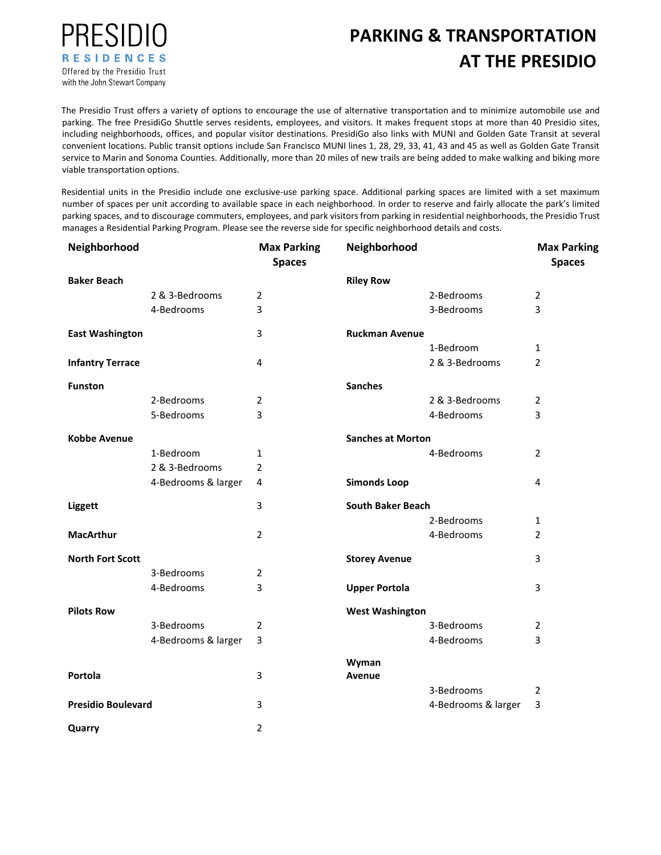

## **PARKING & TRANSPORTATION AT THE PRESIDIO**

The Presidio Trust offers a variety of options to encourage the use of alternative transportation and to minimize automobile use and parking. The free PresidiGo Shuttle serves residents, employees, and visitors. It makes frequent stops at more than 40 Presidio sites, including neighborhoods, offices, and popular visitor destinations. PresidiGo also links with MUNI and Golden Gate Transit at several convenient locations. Public transit options include San Francisco MUNI lines 1, 28, 29, 33, 41, 43 and 45 as well as Golden Gate Transit service to Marin and Sonoma Counties. Additionally, more than 20 miles of new trails are being added to make walking and biking more viable transportation options.

Residential units in the Presidio include one exclusive-use parking space. Additional parking spaces are limited with a set maximum number of spaces per unit according to available space in each neighborhood. In order to reserve and fairly allocate the park's limited parking spaces, and to discourage commuters, employees, and park visitors from parking in residential neighborhoods, the Presidio Trust manages a Residential Parking Program. Please see the reverse side for specific neighborhood details and costs.

| Neighborhood              |                     | <b>Max Parking</b><br><b>Spaces</b> | Neighborhood             |                     | <b>Max Parking</b><br><b>Spaces</b> |
|---------------------------|---------------------|-------------------------------------|--------------------------|---------------------|-------------------------------------|
| <b>Baker Beach</b>        |                     |                                     | <b>Riley Row</b>         |                     |                                     |
|                           | 2 & 3-Bedrooms      | $\overline{2}$                      |                          | 2-Bedrooms          | $\overline{2}$                      |
|                           | 4-Bedrooms          | 3                                   |                          | 3-Bedrooms          | 3                                   |
| <b>East Washington</b>    |                     | 3                                   | <b>Ruckman Avenue</b>    |                     |                                     |
|                           |                     |                                     |                          | 1-Bedroom           | $\mathbf{1}$                        |
| <b>Infantry Terrace</b>   |                     | 4                                   |                          | 2 & 3-Bedrooms      | 2                                   |
| <b>Funston</b>            |                     |                                     | <b>Sanches</b>           |                     |                                     |
|                           | 2-Bedrooms          | $\overline{2}$                      |                          | 2 & 3-Bedrooms      | $\overline{2}$                      |
|                           | 5-Bedrooms          | 3                                   |                          | 4-Bedrooms          | 3                                   |
| <b>Kobbe Avenue</b>       |                     |                                     | <b>Sanches at Morton</b> |                     |                                     |
|                           | 1-Bedroom           | $\mathbf{1}$                        |                          | 4-Bedrooms          | $\overline{2}$                      |
|                           | 2 & 3-Bedrooms      | $\overline{2}$                      |                          |                     |                                     |
|                           | 4-Bedrooms & larger | 4                                   | <b>Simonds Loop</b>      |                     | 4                                   |
| <b>Liggett</b>            |                     | 3                                   | <b>South Baker Beach</b> |                     |                                     |
|                           |                     |                                     |                          | 2-Bedrooms          | $\mathbf{1}$                        |
| <b>MacArthur</b>          |                     | $\overline{2}$                      |                          | 4-Bedrooms          | $\overline{2}$                      |
| <b>North Fort Scott</b>   |                     |                                     | <b>Storey Avenue</b>     |                     | 3                                   |
|                           | 3-Bedrooms          | 2                                   |                          |                     |                                     |
|                           | 4-Bedrooms          | 3                                   | <b>Upper Portola</b>     |                     | 3                                   |
| <b>Pilots Row</b>         |                     |                                     | <b>West Washington</b>   |                     |                                     |
|                           | 3-Bedrooms          | 2                                   |                          | 3-Bedrooms          | 2                                   |
|                           | 4-Bedrooms & larger | 3                                   |                          | 4-Bedrooms          | 3                                   |
|                           |                     |                                     | Wyman                    |                     |                                     |
| Portola                   |                     | 3                                   | Avenue                   | 3-Bedrooms          | 2                                   |
| <b>Presidio Boulevard</b> |                     | 3                                   |                          | 4-Bedrooms & larger | 3                                   |
| Quarry                    |                     | $\overline{2}$                      |                          |                     |                                     |